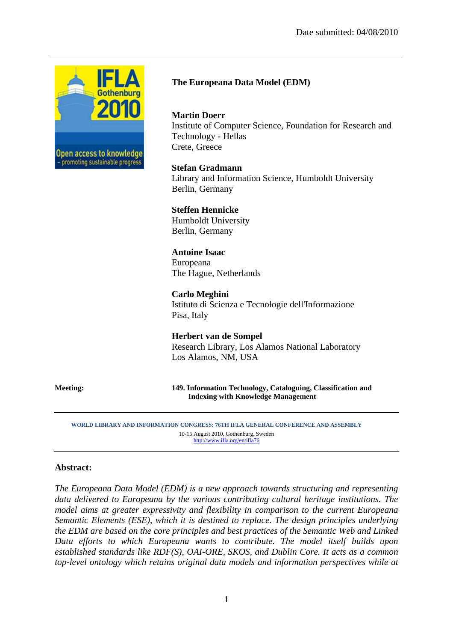

## **The Europeana Data Model (EDM)**

#### **Martin Doerr**

Institute of Computer Science, Foundation for Research and Technology - Hellas Crete, Greece

#### **Stefan Gradmann**

Library and Information Science, Humboldt University Berlin, Germany

#### **Steffen Hennicke**

Humboldt University Berlin, Germany

### **Antoine Isaac**

Europeana The Hague, Netherlands

### **Carlo Meghini**  Istituto di Scienza e Tecnologie dell'Informazione Pisa, Italy

**Herbert van de Sompel** Research Library, Los Alamos National Laboratory Los Alamos, NM, USA

**Meeting: 149. Information Technology, Cataloguing, Classification and Indexing with Knowledge Management**

**WORLD LIBRARY AND INFORMATION CONGRESS: 76TH IFLA GENERAL CONFERENCE AND ASSEMBLY**  10-15 August 2010, Gothenburg, Sweden http://www.ifla.org/en/ifla76

#### **Abstract:**

*The Europeana Data Model (EDM) is a new approach towards structuring and representing data delivered to Europeana by the various contributing cultural heritage institutions. The model aims at greater expressivity and flexibility in comparison to the current Europeana Semantic Elements (ESE), which it is destined to replace. The design principles underlying the EDM are based on the core principles and best practices of the Semantic Web and Linked Data efforts to which Europeana wants to contribute. The model itself builds upon established standards like RDF(S), OAI-ORE, SKOS, and Dublin Core. It acts as a common top-level ontology which retains original data models and information perspectives while at*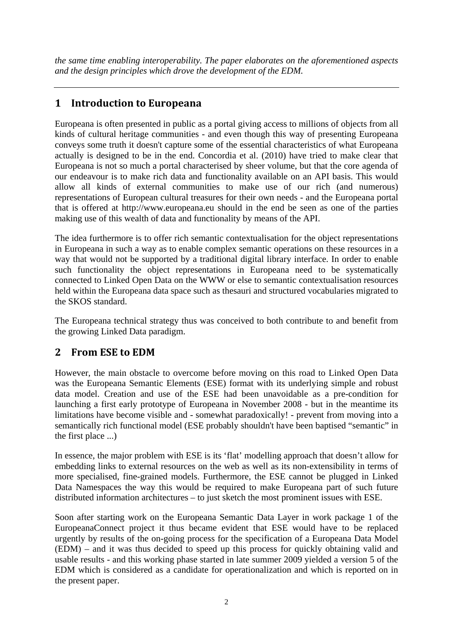*the same time enabling interoperability. The paper elaborates on the aforementioned aspects and the design principles which drove the development of the EDM.* 

# **1 Introduction to Europeana**

Europeana is often presented in public as a portal giving access to millions of objects from all kinds of cultural heritage communities - and even though this way of presenting Europeana conveys some truth it doesn't capture some of the essential characteristics of what Europeana actually is designed to be in the end. Concordia et al. (2010) have tried to make clear that Europeana is not so much a portal characterised by sheer volume, but that the core agenda of our endeavour is to make rich data and functionality available on an API basis. This would allow all kinds of external communities to make use of our rich (and numerous) representations of European cultural treasures for their own needs - and the Europeana portal that is offered at http://www.europeana.eu should in the end be seen as one of the parties making use of this wealth of data and functionality by means of the API.

The idea furthermore is to offer rich semantic contextualisation for the object representations in Europeana in such a way as to enable complex semantic operations on these resources in a way that would not be supported by a traditional digital library interface. In order to enable such functionality the object representations in Europeana need to be systematically connected to Linked Open Data on the WWW or else to semantic contextualisation resources held within the Europeana data space such as thesauri and structured vocabularies migrated to the SKOS standard.

The Europeana technical strategy thus was conceived to both contribute to and benefit from the growing Linked Data paradigm.

# **2 From ESE to EDM**

However, the main obstacle to overcome before moving on this road to Linked Open Data was the Europeana Semantic Elements (ESE) format with its underlying simple and robust data model. Creation and use of the ESE had been unavoidable as a pre-condition for launching a first early prototype of Europeana in November 2008 - but in the meantime its limitations have become visible and - somewhat paradoxically! - prevent from moving into a semantically rich functional model (ESE probably shouldn't have been baptised "semantic" in the first place ...)

In essence, the major problem with ESE is its 'flat' modelling approach that doesn't allow for embedding links to external resources on the web as well as its non-extensibility in terms of more specialised, fine-grained models. Furthermore, the ESE cannot be plugged in Linked Data Namespaces the way this would be required to make Europeana part of such future distributed information architectures – to just sketch the most prominent issues with ESE.

Soon after starting work on the Europeana Semantic Data Layer in work package 1 of the EuropeanaConnect project it thus became evident that ESE would have to be replaced urgently by results of the on-going process for the specification of a Europeana Data Model (EDM) – and it was thus decided to speed up this process for quickly obtaining valid and usable results - and this working phase started in late summer 2009 yielded a version 5 of the EDM which is considered as a candidate for operationalization and which is reported on in the present paper.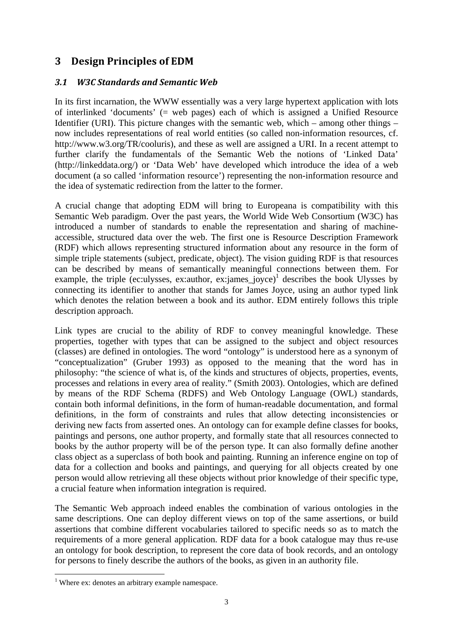# **3 Design Principles of EDM**

## *3.1 W3C Standards and Semantic Web*

In its first incarnation, the WWW essentially was a very large hypertext application with lots of interlinked 'documents' (= web pages) each of which is assigned a Unified Resource Identifier (URI). This picture changes with the semantic web, which – among other things – now includes representations of real world entities (so called non-information resources, cf. http://www.w3.org/TR/cooluris), and these as well are assigned a URI. In a recent attempt to further clarify the fundamentals of the Semantic Web the notions of 'Linked Data' (http://linkeddata.org/) or 'Data Web' have developed which introduce the idea of a web document (a so called 'information resource') representing the non-information resource and the idea of systematic redirection from the latter to the former.

A crucial change that adopting EDM will bring to Europeana is compatibility with this Semantic Web paradigm. Over the past years, the World Wide Web Consortium (W3C) has introduced a number of standards to enable the representation and sharing of machineaccessible, structured data over the web. The first one is Resource Description Framework (RDF) which allows representing structured information about any resource in the form of simple triple statements (subject, predicate, object). The vision guiding RDF is that resources can be described by means of semantically meaningful connections between them. For example, the triple (ec:ulysses, ex:author, ex:james\_joyce)<sup>1</sup> describes the book Ulysses by connecting its identifier to another that stands for James Joyce, using an author typed link which denotes the relation between a book and its author. EDM entirely follows this triple description approach.

Link types are crucial to the ability of RDF to convey meaningful knowledge. These properties, together with types that can be assigned to the subject and object resources (classes) are defined in ontologies. The word "ontology" is understood here as a synonym of "conceptualization" (Gruber 1993) as opposed to the meaning that the word has in philosophy: "the science of what is, of the kinds and structures of objects, properties, events, processes and relations in every area of reality." (Smith 2003). Ontologies, which are defined by means of the RDF Schema (RDFS) and Web Ontology Language (OWL) standards, contain both informal definitions, in the form of human-readable documentation, and formal definitions, in the form of constraints and rules that allow detecting inconsistencies or deriving new facts from asserted ones. An ontology can for example define classes for books, paintings and persons, one author property, and formally state that all resources connected to books by the author property will be of the person type. It can also formally define another class object as a superclass of both book and painting. Running an inference engine on top of data for a collection and books and paintings, and querying for all objects created by one person would allow retrieving all these objects without prior knowledge of their specific type, a crucial feature when information integration is required.

The Semantic Web approach indeed enables the combination of various ontologies in the same descriptions. One can deploy different views on top of the same assertions, or build assertions that combine different vocabularies tailored to specific needs so as to match the requirements of a more general application. RDF data for a book catalogue may thus re-use an ontology for book description, to represent the core data of book records, and an ontology for persons to finely describe the authors of the books, as given in an authority file.

 $\overline{a}$ 

<sup>&</sup>lt;sup>1</sup> Where ex: denotes an arbitrary example namespace.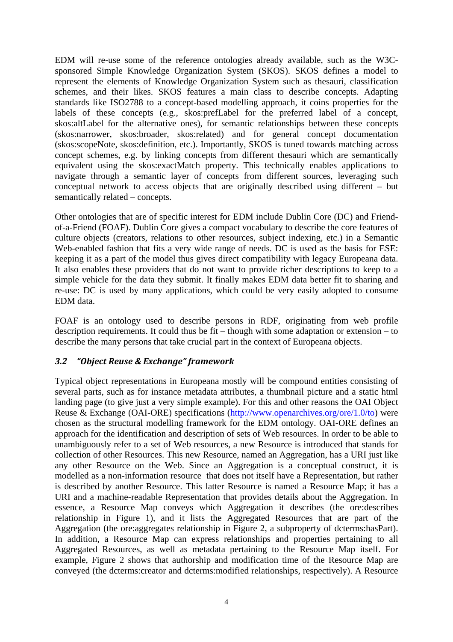EDM will re-use some of the reference ontologies already available, such as the W3Csponsored Simple Knowledge Organization System (SKOS). SKOS defines a model to represent the elements of Knowledge Organization System such as thesauri, classification schemes, and their likes. SKOS features a main class to describe concepts. Adapting standards like ISO2788 to a concept-based modelling approach, it coins properties for the labels of these concepts (e.g., skos:prefLabel for the preferred label of a concept, skos:altLabel for the alternative ones), for semantic relationships between these concepts (skos:narrower, skos:broader, skos:related) and for general concept documentation (skos:scopeNote, skos:definition, etc.). Importantly, SKOS is tuned towards matching across concept schemes, e.g. by linking concepts from different thesauri which are semantically equivalent using the skos:exactMatch property. This technically enables applications to navigate through a semantic layer of concepts from different sources, leveraging such conceptual network to access objects that are originally described using different – but semantically related – concepts.

Other ontologies that are of specific interest for EDM include Dublin Core (DC) and Friendof-a-Friend (FOAF). Dublin Core gives a compact vocabulary to describe the core features of culture objects (creators, relations to other resources, subject indexing, etc.) in a Semantic Web-enabled fashion that fits a very wide range of needs. DC is used as the basis for ESE: keeping it as a part of the model thus gives direct compatibility with legacy Europeana data. It also enables these providers that do not want to provide richer descriptions to keep to a simple vehicle for the data they submit. It finally makes EDM data better fit to sharing and re-use: DC is used by many applications, which could be very easily adopted to consume EDM data.

FOAF is an ontology used to describe persons in RDF, originating from web profile description requirements. It could thus be fit – though with some adaptation or extension – to describe the many persons that take crucial part in the context of Europeana objects.

### *3.2 "Object Reuse & Exchange" framework*

Typical object representations in Europeana mostly will be compound entities consisting of several parts, such as for instance metadata attributes, a thumbnail picture and a static html landing page (to give just a very simple example). For this and other reasons the OAI Object Reuse & Exchange (OAI-ORE) specifications (http://www.openarchives.org/ore/1.0/to) were chosen as the structural modelling framework for the EDM ontology. OAI-ORE defines an approach for the identification and description of sets of Web resources. In order to be able to unambiguously refer to a set of Web resources, a new Resource is introduced that stands for collection of other Resources. This new Resource, named an Aggregation, has a URI just like any other Resource on the Web. Since an Aggregation is a conceptual construct, it is modelled as a non-information resource that does not itself have a Representation, but rather is described by another Resource. This latter Resource is named a Resource Map; it has a URI and a machine-readable Representation that provides details about the Aggregation. In essence, a Resource Map conveys which Aggregation it describes (the ore:describes relationship in Figure 1), and it lists the Aggregated Resources that are part of the Aggregation (the ore:aggregates relationship in Figure 2, a subproperty of dcterms:hasPart). In addition, a Resource Map can express relationships and properties pertaining to all Aggregated Resources, as well as metadata pertaining to the Resource Map itself. For example, Figure 2 shows that authorship and modification time of the Resource Map are conveyed (the dcterms:creator and dcterms:modified relationships, respectively). A Resource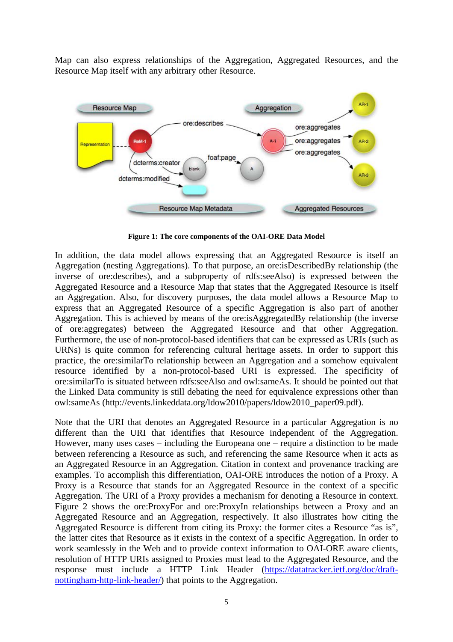Map can also express relationships of the Aggregation, Aggregated Resources, and the Resource Map itself with any arbitrary other Resource.



**Figure 1: The core components of the OAI-ORE Data Model** 

In addition, the data model allows expressing that an Aggregated Resource is itself an Aggregation (nesting Aggregations). To that purpose, an ore:isDescribedBy relationship (the inverse of ore:describes), and a subproperty of rdfs:seeAlso) is expressed between the Aggregated Resource and a Resource Map that states that the Aggregated Resource is itself an Aggregation. Also, for discovery purposes, the data model allows a Resource Map to express that an Aggregated Resource of a specific Aggregation is also part of another Aggregation. This is achieved by means of the ore:isAggregatedBy relationship (the inverse of ore:aggregates) between the Aggregated Resource and that other Aggregation. Furthermore, the use of non-protocol-based identifiers that can be expressed as URIs (such as URNs) is quite common for referencing cultural heritage assets. In order to support this practice, the ore:similarTo relationship between an Aggregation and a somehow equivalent resource identified by a non-protocol-based URI is expressed. The specificity of ore:similarTo is situated between rdfs:seeAlso and owl:sameAs. It should be pointed out that the Linked Data community is still debating the need for equivalence expressions other than owl:sameAs (http://events.linkeddata.org/ldow2010/papers/ldow2010\_paper09.pdf).

Note that the URI that denotes an Aggregated Resource in a particular Aggregation is no different than the URI that identifies that Resource independent of the Aggregation. However, many uses cases – including the Europeana one – require a distinction to be made between referencing a Resource as such, and referencing the same Resource when it acts as an Aggregated Resource in an Aggregation. Citation in context and provenance tracking are examples. To accomplish this differentiation, OAI-ORE introduces the notion of a Proxy. A Proxy is a Resource that stands for an Aggregated Resource in the context of a specific Aggregation. The URI of a Proxy provides a mechanism for denoting a Resource in context. Figure 2 shows the ore:ProxyFor and ore:ProxyIn relationships between a Proxy and an Aggregated Resource and an Aggregation, respectively. It also illustrates how citing the Aggregated Resource is different from citing its Proxy: the former cites a Resource "as is", the latter cites that Resource as it exists in the context of a specific Aggregation. In order to work seamlessly in the Web and to provide context information to OAI-ORE aware clients, resolution of HTTP URIs assigned to Proxies must lead to the Aggregated Resource, and the response must include a HTTP Link Header (https://datatracker.ietf.org/doc/draftnottingham-http-link-header/) that points to the Aggregation.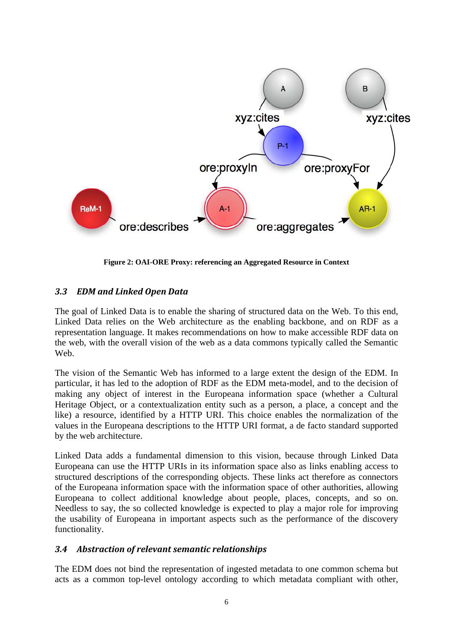

**Figure 2: OAI-ORE Proxy: referencing an Aggregated Resource in Context** 

### *3.3 EDM and Linked Open Data*

The goal of Linked Data is to enable the sharing of structured data on the Web. To this end, Linked Data relies on the Web architecture as the enabling backbone, and on RDF as a representation language. It makes recommendations on how to make accessible RDF data on the web, with the overall vision of the web as a data commons typically called the Semantic Web.

The vision of the Semantic Web has informed to a large extent the design of the EDM. In particular, it has led to the adoption of RDF as the EDM meta-model, and to the decision of making any object of interest in the Europeana information space (whether a Cultural Heritage Object, or a contextualization entity such as a person, a place, a concept and the like) a resource, identified by a HTTP URI. This choice enables the normalization of the values in the Europeana descriptions to the HTTP URI format, a de facto standard supported by the web architecture.

Linked Data adds a fundamental dimension to this vision, because through Linked Data Europeana can use the HTTP URIs in its information space also as links enabling access to structured descriptions of the corresponding objects. These links act therefore as connectors of the Europeana information space with the information space of other authorities, allowing Europeana to collect additional knowledge about people, places, concepts, and so on. Needless to say, the so collected knowledge is expected to play a major role for improving the usability of Europeana in important aspects such as the performance of the discovery functionality.

### *3.4 Abstraction of relevant semantic relationships*

The EDM does not bind the representation of ingested metadata to one common schema but acts as a common top-level ontology according to which metadata compliant with other,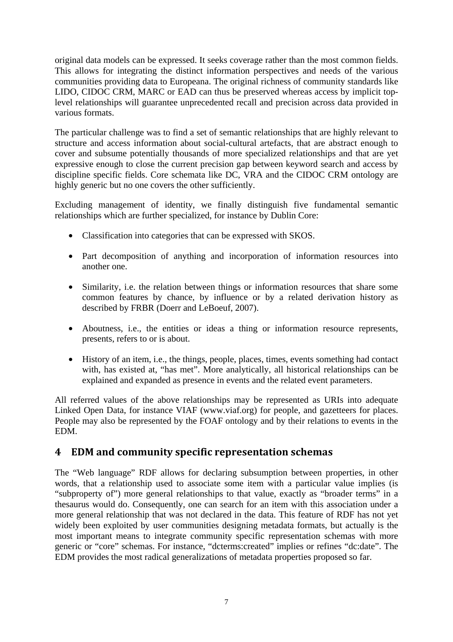original data models can be expressed. It seeks coverage rather than the most common fields. This allows for integrating the distinct information perspectives and needs of the various communities providing data to Europeana. The original richness of community standards like LIDO, CIDOC CRM, MARC or EAD can thus be preserved whereas access by implicit toplevel relationships will guarantee unprecedented recall and precision across data provided in various formats.

The particular challenge was to find a set of semantic relationships that are highly relevant to structure and access information about social-cultural artefacts, that are abstract enough to cover and subsume potentially thousands of more specialized relationships and that are yet expressive enough to close the current precision gap between keyword search and access by discipline specific fields. Core schemata like DC, VRA and the CIDOC CRM ontology are highly generic but no one covers the other sufficiently.

Excluding management of identity, we finally distinguish five fundamental semantic relationships which are further specialized, for instance by Dublin Core:

- Classification into categories that can be expressed with SKOS.
- Part decomposition of anything and incorporation of information resources into another one.
- Similarity, i.e. the relation between things or information resources that share some common features by chance, by influence or by a related derivation history as described by FRBR (Doerr and LeBoeuf, 2007).
- Aboutness, i.e., the entities or ideas a thing or information resource represents, presents, refers to or is about.
- History of an item, i.e., the things, people, places, times, events something had contact with, has existed at, "has met". More analytically, all historical relationships can be explained and expanded as presence in events and the related event parameters.

All referred values of the above relationships may be represented as URIs into adequate Linked Open Data, for instance VIAF (www.viaf.org) for people, and gazetteers for places. People may also be represented by the FOAF ontology and by their relations to events in the EDM.

# **4 EDM and community specific representation schemas**

The "Web language" RDF allows for declaring subsumption between properties, in other words, that a relationship used to associate some item with a particular value implies (is "subproperty of") more general relationships to that value, exactly as "broader terms" in a thesaurus would do. Consequently, one can search for an item with this association under a more general relationship that was not declared in the data. This feature of RDF has not yet widely been exploited by user communities designing metadata formats, but actually is the most important means to integrate community specific representation schemas with more generic or "core" schemas. For instance, "dcterms:created" implies or refines "dc:date". The EDM provides the most radical generalizations of metadata properties proposed so far.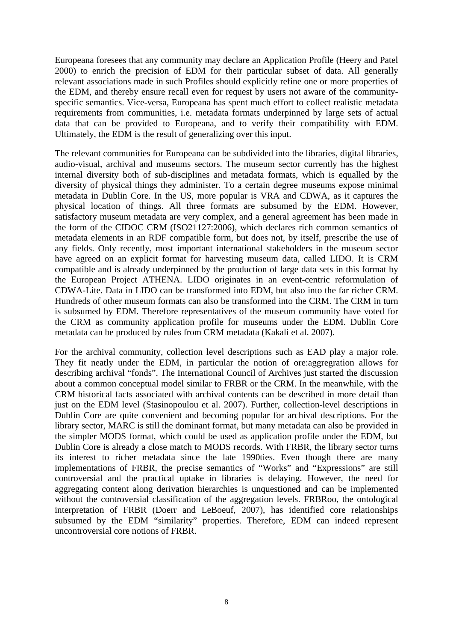Europeana foresees that any community may declare an Application Profile (Heery and Patel 2000) to enrich the precision of EDM for their particular subset of data. All generally relevant associations made in such Profiles should explicitly refine one or more properties of the EDM, and thereby ensure recall even for request by users not aware of the communityspecific semantics. Vice-versa, Europeana has spent much effort to collect realistic metadata requirements from communities, i.e. metadata formats underpinned by large sets of actual data that can be provided to Europeana, and to verify their compatibility with EDM. Ultimately, the EDM is the result of generalizing over this input.

The relevant communities for Europeana can be subdivided into the libraries, digital libraries, audio-visual, archival and museums sectors. The museum sector currently has the highest internal diversity both of sub-disciplines and metadata formats, which is equalled by the diversity of physical things they administer. To a certain degree museums expose minimal metadata in Dublin Core. In the US, more popular is VRA and CDWA, as it captures the physical location of things. All three formats are subsumed by the EDM. However, satisfactory museum metadata are very complex, and a general agreement has been made in the form of the CIDOC CRM (ISO21127:2006), which declares rich common semantics of metadata elements in an RDF compatible form, but does not, by itself, prescribe the use of any fields. Only recently, most important international stakeholders in the museum sector have agreed on an explicit format for harvesting museum data, called LIDO. It is CRM compatible and is already underpinned by the production of large data sets in this format by the European Project ATHENA. LIDO originates in an event-centric reformulation of CDWA-Lite. Data in LIDO can be transformed into EDM, but also into the far richer CRM. Hundreds of other museum formats can also be transformed into the CRM. The CRM in turn is subsumed by EDM. Therefore representatives of the museum community have voted for the CRM as community application profile for museums under the EDM. Dublin Core metadata can be produced by rules from CRM metadata (Kakali et al. 2007).

For the archival community, collection level descriptions such as EAD play a major role. They fit neatly under the EDM, in particular the notion of ore:aggregration allows for describing archival "fonds". The International Council of Archives just started the discussion about a common conceptual model similar to FRBR or the CRM. In the meanwhile, with the CRM historical facts associated with archival contents can be described in more detail than just on the EDM level (Stasinopoulou et al. 2007). Further, collection-level descriptions in Dublin Core are quite convenient and becoming popular for archival descriptions. For the library sector, MARC is still the dominant format, but many metadata can also be provided in the simpler MODS format, which could be used as application profile under the EDM, but Dublin Core is already a close match to MODS records. With FRBR, the library sector turns its interest to richer metadata since the late 1990ties. Even though there are many implementations of FRBR, the precise semantics of "Works" and "Expressions" are still controversial and the practical uptake in libraries is delaying. However, the need for aggregating content along derivation hierarchies is unquestioned and can be implemented without the controversial classification of the aggregation levels. FRBRoo, the ontological interpretation of FRBR (Doerr and LeBoeuf, 2007), has identified core relationships subsumed by the EDM "similarity" properties. Therefore, EDM can indeed represent uncontroversial core notions of FRBR.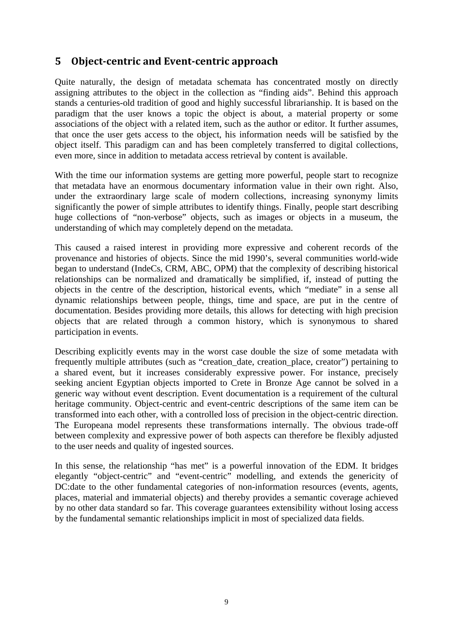# **5 Object-centric and Event-centric approach**

Quite naturally, the design of metadata schemata has concentrated mostly on directly assigning attributes to the object in the collection as "finding aids". Behind this approach stands a centuries-old tradition of good and highly successful librarianship. It is based on the paradigm that the user knows a topic the object is about, a material property or some associations of the object with a related item, such as the author or editor. It further assumes, that once the user gets access to the object, his information needs will be satisfied by the object itself. This paradigm can and has been completely transferred to digital collections, even more, since in addition to metadata access retrieval by content is available.

With the time our information systems are getting more powerful, people start to recognize that metadata have an enormous documentary information value in their own right. Also, under the extraordinary large scale of modern collections, increasing synonymy limits significantly the power of simple attributes to identify things. Finally, people start describing huge collections of "non-verbose" objects, such as images or objects in a museum, the understanding of which may completely depend on the metadata.

This caused a raised interest in providing more expressive and coherent records of the provenance and histories of objects. Since the mid 1990's, several communities world-wide began to understand (IndeCs, CRM, ABC, OPM) that the complexity of describing historical relationships can be normalized and dramatically be simplified, if, instead of putting the objects in the centre of the description, historical events, which "mediate" in a sense all dynamic relationships between people, things, time and space, are put in the centre of documentation. Besides providing more details, this allows for detecting with high precision objects that are related through a common history, which is synonymous to shared participation in events.

Describing explicitly events may in the worst case double the size of some metadata with frequently multiple attributes (such as "creation\_date, creation\_place, creator") pertaining to a shared event, but it increases considerably expressive power. For instance, precisely seeking ancient Egyptian objects imported to Crete in Bronze Age cannot be solved in a generic way without event description. Event documentation is a requirement of the cultural heritage community. Object-centric and event-centric descriptions of the same item can be transformed into each other, with a controlled loss of precision in the object-centric direction. The Europeana model represents these transformations internally. The obvious trade-off between complexity and expressive power of both aspects can therefore be flexibly adjusted to the user needs and quality of ingested sources.

In this sense, the relationship "has met" is a powerful innovation of the EDM. It bridges elegantly "object-centric" and "event-centric" modelling, and extends the genericity of DC:date to the other fundamental categories of non-information resources (events, agents, places, material and immaterial objects) and thereby provides a semantic coverage achieved by no other data standard so far. This coverage guarantees extensibility without losing access by the fundamental semantic relationships implicit in most of specialized data fields.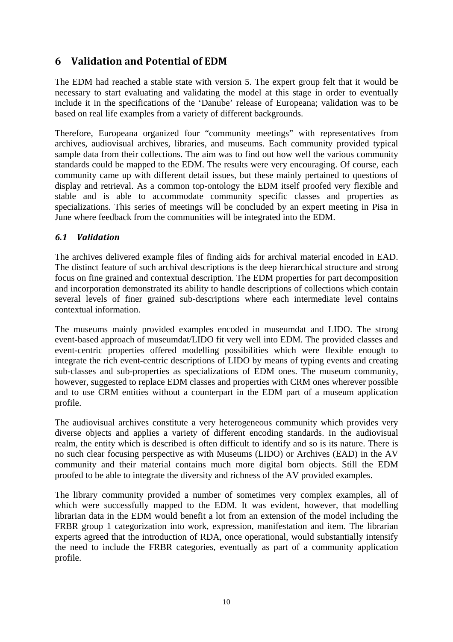# **6 Validation and Potential of EDM**

The EDM had reached a stable state with version 5. The expert group felt that it would be necessary to start evaluating and validating the model at this stage in order to eventually include it in the specifications of the 'Danube' release of Europeana; validation was to be based on real life examples from a variety of different backgrounds.

Therefore, Europeana organized four "community meetings" with representatives from archives, audiovisual archives, libraries, and museums. Each community provided typical sample data from their collections. The aim was to find out how well the various community standards could be mapped to the EDM. The results were very encouraging. Of course, each community came up with different detail issues, but these mainly pertained to questions of display and retrieval. As a common top-ontology the EDM itself proofed very flexible and stable and is able to accommodate community specific classes and properties as specializations. This series of meetings will be concluded by an expert meeting in Pisa in June where feedback from the communities will be integrated into the EDM.

### *6.1 Validation*

The archives delivered example files of finding aids for archival material encoded in EAD. The distinct feature of such archival descriptions is the deep hierarchical structure and strong focus on fine grained and contextual description. The EDM properties for part decomposition and incorporation demonstrated its ability to handle descriptions of collections which contain several levels of finer grained sub-descriptions where each intermediate level contains contextual information.

The museums mainly provided examples encoded in museumdat and LIDO. The strong event-based approach of museumdat/LIDO fit very well into EDM. The provided classes and event-centric properties offered modelling possibilities which were flexible enough to integrate the rich event-centric descriptions of LIDO by means of typing events and creating sub-classes and sub-properties as specializations of EDM ones. The museum community, however, suggested to replace EDM classes and properties with CRM ones wherever possible and to use CRM entities without a counterpart in the EDM part of a museum application profile.

The audiovisual archives constitute a very heterogeneous community which provides very diverse objects and applies a variety of different encoding standards. In the audiovisual realm, the entity which is described is often difficult to identify and so is its nature. There is no such clear focusing perspective as with Museums (LIDO) or Archives (EAD) in the AV community and their material contains much more digital born objects. Still the EDM proofed to be able to integrate the diversity and richness of the AV provided examples.

The library community provided a number of sometimes very complex examples, all of which were successfully mapped to the EDM. It was evident, however, that modelling librarian data in the EDM would benefit a lot from an extension of the model including the FRBR group 1 categorization into work, expression, manifestation and item. The librarian experts agreed that the introduction of RDA, once operational, would substantially intensify the need to include the FRBR categories, eventually as part of a community application profile.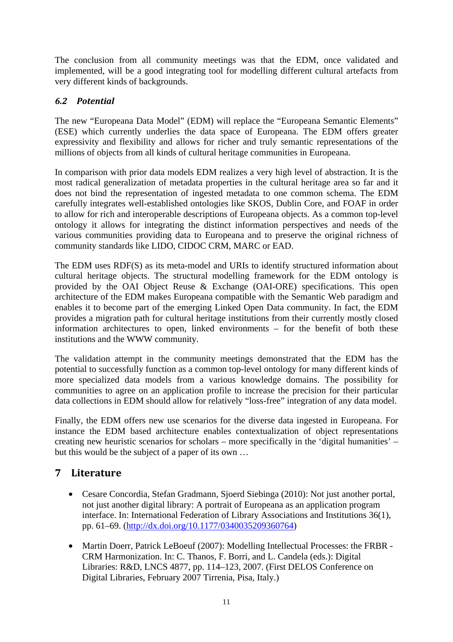The conclusion from all community meetings was that the EDM, once validated and implemented, will be a good integrating tool for modelling different cultural artefacts from very different kinds of backgrounds.

### *6.2 Potential*

The new "Europeana Data Model" (EDM) will replace the "Europeana Semantic Elements" (ESE) which currently underlies the data space of Europeana. The EDM offers greater expressivity and flexibility and allows for richer and truly semantic representations of the millions of objects from all kinds of cultural heritage communities in Europeana.

In comparison with prior data models EDM realizes a very high level of abstraction. It is the most radical generalization of metadata properties in the cultural heritage area so far and it does not bind the representation of ingested metadata to one common schema. The EDM carefully integrates well-established ontologies like SKOS, Dublin Core, and FOAF in order to allow for rich and interoperable descriptions of Europeana objects. As a common top-level ontology it allows for integrating the distinct information perspectives and needs of the various communities providing data to Europeana and to preserve the original richness of community standards like LIDO, CIDOC CRM, MARC or EAD.

The EDM uses RDF(S) as its meta-model and URIs to identify structured information about cultural heritage objects. The structural modelling framework for the EDM ontology is provided by the OAI Object Reuse & Exchange (OAI-ORE) specifications. This open architecture of the EDM makes Europeana compatible with the Semantic Web paradigm and enables it to become part of the emerging Linked Open Data community. In fact, the EDM provides a migration path for cultural heritage institutions from their currently mostly closed information architectures to open, linked environments – for the benefit of both these institutions and the WWW community.

The validation attempt in the community meetings demonstrated that the EDM has the potential to successfully function as a common top-level ontology for many different kinds of more specialized data models from a various knowledge domains. The possibility for communities to agree on an application profile to increase the precision for their particular data collections in EDM should allow for relatively "loss-free" integration of any data model.

Finally, the EDM offers new use scenarios for the diverse data ingested in Europeana. For instance the EDM based architecture enables contextualization of object representations creating new heuristic scenarios for scholars – more specifically in the 'digital humanities' – but this would be the subject of a paper of its own …

# **7 Literature**

- Cesare Concordia, Stefan Gradmann, Sjoerd Siebinga (2010): Not just another portal, not just another digital library: A portrait of Europeana as an application program interface. In: International Federation of Library Associations and Institutions 36(1), pp. 61–69. (http://dx.doi.org/10.1177/0340035209360764)
- Martin Doerr, Patrick LeBoeuf (2007): Modelling Intellectual Processes: the FRBR -CRM Harmonization. In: C. Thanos, F. Borri, and L. Candela (eds.): Digital Libraries: R&D, LNCS 4877, pp. 114–123, 2007. (First DELOS Conference on Digital Libraries, February 2007 Tirrenia, Pisa, Italy.)